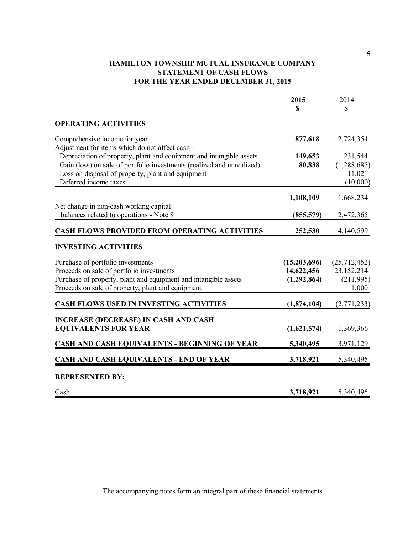## **HAMILTON TOWNSHIP MUTUAL INSURANCE COMPANY STATEMENT OF CASH FLOWS FOR THE YEAR ENDED DECEMBER 31, 2015**

|                                                                                                                                                                                                                             | 2015<br>\$                                | 2014<br>\$                                       |
|-----------------------------------------------------------------------------------------------------------------------------------------------------------------------------------------------------------------------------|-------------------------------------------|--------------------------------------------------|
| <b>OPERATING ACTIVITIES</b>                                                                                                                                                                                                 |                                           |                                                  |
| Comprehensive income for year<br>Adjustment for items which do not affect cash -                                                                                                                                            | 877,618                                   | 2,724,354                                        |
| Depreciation of property, plant and equipment and intangible assets<br>Gain (loss) on sale of portfolio investments (realized and unrealized)<br>Loss on disposal of property, plant and equipment<br>Deferred income taxes | 149,653<br>80,838                         | 231,544<br>(1,288,685)<br>11,021<br>(10,000)     |
|                                                                                                                                                                                                                             | 1,108,109                                 | 1,668,234                                        |
| Net change in non-cash working capital<br>balances related to operations - Note 8                                                                                                                                           | (855, 579)                                | 2,472,365                                        |
| <b>CASH FLOWS PROVIDED FROM OPERATING ACTIVITIES</b>                                                                                                                                                                        | 252,530                                   | 4,140,599                                        |
| <b>INVESTING ACTIVITIES</b>                                                                                                                                                                                                 |                                           |                                                  |
| Purchase of portfolio investments<br>Proceeds on sale of portfolio investments<br>Purchase of property, plant and equipment and intangible assets<br>Proceeds on sale of property, plant and equipment                      | (15,203,696)<br>14,622,456<br>(1,292,864) | (25,712,452)<br>23,152,214<br>(211,995)<br>1,000 |
| CASH FLOWS USED IN INVESTING ACTIVITIES                                                                                                                                                                                     | (1,874,104)                               | (2,771,233)                                      |
| <b>INCREASE (DECREASE) IN CASH AND CASH</b><br><b>EQUIVALENTS FOR YEAR</b>                                                                                                                                                  | (1,621,574)                               | 1,369,366                                        |
| CASH AND CASH EQUIVALENTS - BEGINNING OF YEAR                                                                                                                                                                               | 5,340,495                                 | 3,971,129                                        |
| <b>CASH AND CASH EQUIVALENTS - END OF YEAR</b>                                                                                                                                                                              | 3,718,921                                 | 5,340,495                                        |
| <b>REPRESENTED BY:</b>                                                                                                                                                                                                      |                                           |                                                  |
| Cash                                                                                                                                                                                                                        | 3,718,921                                 | 5,340,495                                        |

**5**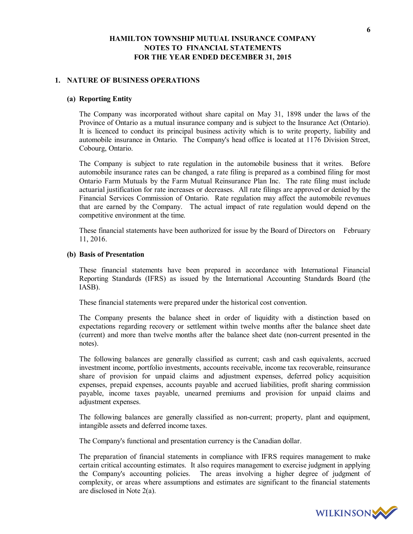#### **1. NATURE OF BUSINESS OPERATIONS**

### **(a) Reporting Entity**

The Company was incorporated without share capital on May 31, 1898 under the laws of the Province of Ontario as a mutual insurance company and is subject to the Insurance Act (Ontario). It is licenced to conduct its principal business activity which is to write property, liability and automobile insurance in Ontario. The Company's head office is located at 1176 Division Street, Cobourg, Ontario.

The Company is subject to rate regulation in the automobile business that it writes. Before automobile insurance rates can be changed, a rate filing is prepared as a combined filing for most Ontario Farm Mutuals by the Farm Mutual Reinsurance Plan Inc. The rate filing must include actuarial justification for rate increases or decreases. All rate filings are approved or denied by the Financial Services Commission of Ontario. Rate regulation may affect the automobile revenues that are earned by the Company. The actual impact of rate regulation would depend on the competitive environment at the time.

These financial statements have been authorized for issue by the Board of Directors on February 11, 2016.

#### **(b) Basis of Presentation**

These financial statements have been prepared in accordance with International Financial Reporting Standards (IFRS) as issued by the International Accounting Standards Board (the IASB).

These financial statements were prepared under the historical cost convention.

The Company presents the balance sheet in order of liquidity with a distinction based on expectations regarding recovery or settlement within twelve months after the balance sheet date (current) and more than twelve months after the balance sheet date (non-current presented in the notes).

The following balances are generally classified as current; cash and cash equivalents, accrued investment income, portfolio investments, accounts receivable, income tax recoverable, reinsurance share of provision for unpaid claims and adjustment expenses, deferred policy acquisition expenses, prepaid expenses, accounts payable and accrued liabilities, profit sharing commission payable, income taxes payable, unearned premiums and provision for unpaid claims and adjustment expenses.

The following balances are generally classified as non-current; property, plant and equipment, intangible assets and deferred income taxes.

The Company's functional and presentation currency is the Canadian dollar.

The preparation of financial statements in compliance with IFRS requires management to make certain critical accounting estimates. It also requires management to exercise judgment in applying the Company's accounting policies. The areas involving a higher degree of judgment of complexity, or areas where assumptions and estimates are significant to the financial statements are disclosed in Note 2(a).

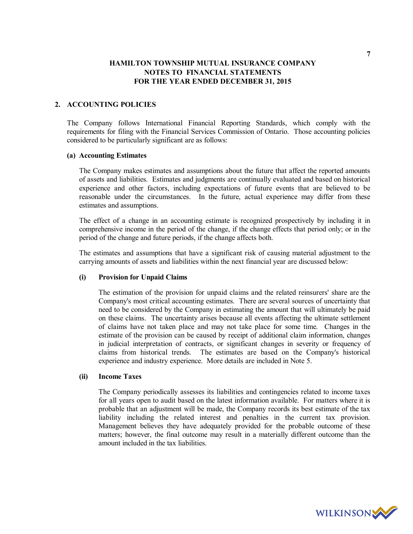### **2. ACCOUNTING POLICIES**

The Company follows International Financial Reporting Standards, which comply with the requirements for filing with the Financial Services Commission of Ontario. Those accounting policies considered to be particularly significant are as follows:

### **(a) Accounting Estimates**

The Company makes estimates and assumptions about the future that affect the reported amounts of assets and liabilities. Estimates and judgments are continually evaluated and based on historical experience and other factors, including expectations of future events that are believed to be reasonable under the circumstances. In the future, actual experience may differ from these estimates and assumptions.

The effect of a change in an accounting estimate is recognized prospectively by including it in comprehensive income in the period of the change, if the change effects that period only; or in the period of the change and future periods, if the change affects both.

The estimates and assumptions that have a significant risk of causing material adjustment to the carrying amounts of assets and liabilities within the next financial year are discussed below:

#### **(i) Provision for Unpaid Claims**

The estimation of the provision for unpaid claims and the related reinsurers' share are the Company's most critical accounting estimates. There are several sources of uncertainty that need to be considered by the Company in estimating the amount that will ultimately be paid on these claims. The uncertainty arises because all events affecting the ultimate settlement of claims have not taken place and may not take place for some time. Changes in the estimate of the provision can be caused by receipt of additional claim information, changes in judicial interpretation of contracts, or significant changes in severity or frequency of claims from historical trends. The estimates are based on the Company's historical experience and industry experience. More details are included in Note 5.

### **(ii) Income Taxes**

The Company periodically assesses its liabilities and contingencies related to income taxes for all years open to audit based on the latest information available. For matters where it is probable that an adjustment will be made, the Company records its best estimate of the tax liability including the related interest and penalties in the current tax provision. Management believes they have adequately provided for the probable outcome of these matters; however, the final outcome may result in a materially different outcome than the amount included in the tax liabilities.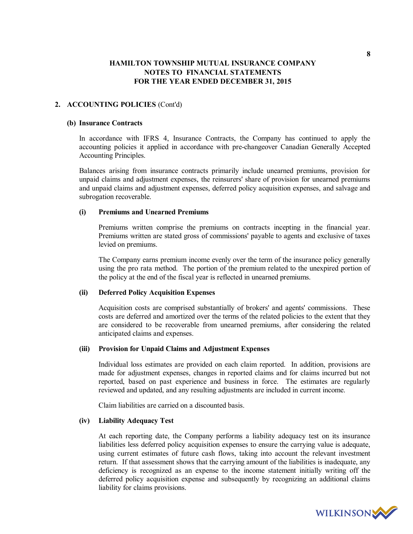### **2. ACCOUNTING POLICIES** (Cont'd)

#### **(b) Insurance Contracts**

In accordance with IFRS 4, Insurance Contracts, the Company has continued to apply the accounting policies it applied in accordance with pre-changeover Canadian Generally Accepted Accounting Principles.

Balances arising from insurance contracts primarily include unearned premiums, provision for unpaid claims and adjustment expenses, the reinsurers' share of provision for unearned premiums and unpaid claims and adjustment expenses, deferred policy acquisition expenses, and salvage and subrogation recoverable.

#### **(i) Premiums and Unearned Premiums**

Premiums written comprise the premiums on contracts incepting in the financial year. Premiums written are stated gross of commissions' payable to agents and exclusive of taxes levied on premiums.

The Company earns premium income evenly over the term of the insurance policy generally using the pro rata method. The portion of the premium related to the unexpired portion of the policy at the end of the fiscal year is reflected in unearned premiums.

#### **(ii) Deferred Policy Acquisition Expenses**

Acquisition costs are comprised substantially of brokers' and agents' commissions. These costs are deferred and amortized over the terms of the related policies to the extent that they are considered to be recoverable from unearned premiums, after considering the related anticipated claims and expenses.

#### **(iii) Provision for Unpaid Claims and Adjustment Expenses**

Individual loss estimates are provided on each claim reported. In addition, provisions are made for adjustment expenses, changes in reported claims and for claims incurred but not reported, based on past experience and business in force. The estimates are regularly reviewed and updated, and any resulting adjustments are included in current income.

Claim liabilities are carried on a discounted basis.

#### **(iv) Liability Adequacy Test**

At each reporting date, the Company performs a liability adequacy test on its insurance liabilities less deferred policy acquisition expenses to ensure the carrying value is adequate, using current estimates of future cash flows, taking into account the relevant investment return. If that assessment shows that the carrying amount of the liabilities is inadequate, any deficiency is recognized as an expense to the income statement initially writing off the deferred policy acquisition expense and subsequently by recognizing an additional claims liability for claims provisions.

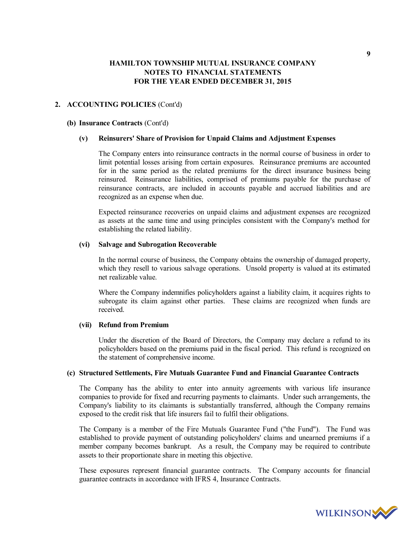#### **2. ACCOUNTING POLICIES** (Cont'd)

#### **(b) Insurance Contracts** (Cont'd)

#### **(v) Reinsurers' Share of Provision for Unpaid Claims and Adjustment Expenses**

The Company enters into reinsurance contracts in the normal course of business in order to limit potential losses arising from certain exposures. Reinsurance premiums are accounted for in the same period as the related premiums for the direct insurance business being reinsured. Reinsurance liabilities, comprised of premiums payable for the purchase of reinsurance contracts, are included in accounts payable and accrued liabilities and are recognized as an expense when due.

Expected reinsurance recoveries on unpaid claims and adjustment expenses are recognized as assets at the same time and using principles consistent with the Company's method for establishing the related liability.

#### **(vi) Salvage and Subrogation Recoverable**

In the normal course of business, the Company obtains the ownership of damaged property, which they resell to various salvage operations. Unsold property is valued at its estimated net realizable value.

Where the Company indemnifies policyholders against a liability claim, it acquires rights to subrogate its claim against other parties. These claims are recognized when funds are received.

#### **(vii) Refund from Premium**

Under the discretion of the Board of Directors, the Company may declare a refund to its policyholders based on the premiums paid in the fiscal period. This refund is recognized on the statement of comprehensive income.

#### **(c) Structured Settlements, Fire Mutuals Guarantee Fund and Financial Guarantee Contracts**

The Company has the ability to enter into annuity agreements with various life insurance companies to provide for fixed and recurring payments to claimants. Under such arrangements, the Company's liability to its claimants is substantially transferred, although the Company remains exposed to the credit risk that life insurers fail to fulfil their obligations.

The Company is a member of the Fire Mutuals Guarantee Fund ("the Fund"). The Fund was established to provide payment of outstanding policyholders' claims and unearned premiums if a member company becomes bankrupt. As a result, the Company may be required to contribute assets to their proportionate share in meeting this objective.

These exposures represent financial guarantee contracts. The Company accounts for financial guarantee contracts in accordance with IFRS 4, Insurance Contracts.

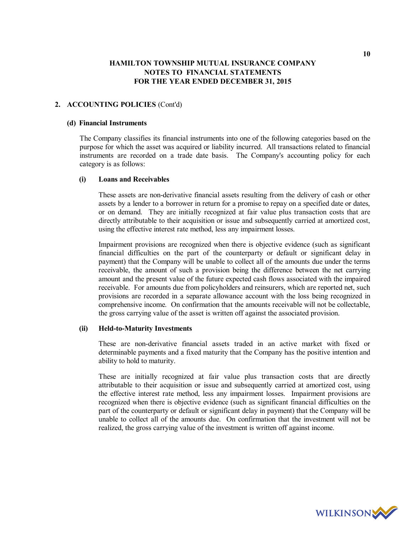### **2. ACCOUNTING POLICIES** (Cont'd)

#### **(d) Financial Instruments**

The Company classifies its financial instruments into one of the following categories based on the purpose for which the asset was acquired or liability incurred. All transactions related to financial instruments are recorded on a trade date basis. The Company's accounting policy for each category is as follows:

#### **(i) Loans and Receivables**

These assets are non-derivative financial assets resulting from the delivery of cash or other assets by a lender to a borrower in return for a promise to repay on a specified date or dates, or on demand. They are initially recognized at fair value plus transaction costs that are directly attributable to their acquisition or issue and subsequently carried at amortized cost, using the effective interest rate method, less any impairment losses.

Impairment provisions are recognized when there is objective evidence (such as significant financial difficulties on the part of the counterparty or default or significant delay in payment) that the Company will be unable to collect all of the amounts due under the terms receivable, the amount of such a provision being the difference between the net carrying amount and the present value of the future expected cash flows associated with the impaired receivable. For amounts due from policyholders and reinsurers, which are reported net, such provisions are recorded in a separate allowance account with the loss being recognized in comprehensive income. On confirmation that the amounts receivable will not be collectable, the gross carrying value of the asset is written off against the associated provision.

#### **(ii) Held-to-Maturity Investments**

These are non-derivative financial assets traded in an active market with fixed or determinable payments and a fixed maturity that the Company has the positive intention and ability to hold to maturity.

These are initially recognized at fair value plus transaction costs that are directly attributable to their acquisition or issue and subsequently carried at amortized cost, using the effective interest rate method, less any impairment losses. Impairment provisions are recognized when there is objective evidence (such as significant financial difficulties on the part of the counterparty or default or significant delay in payment) that the Company will be unable to collect all of the amounts due. On confirmation that the investment will not be realized, the gross carrying value of the investment is written off against income.

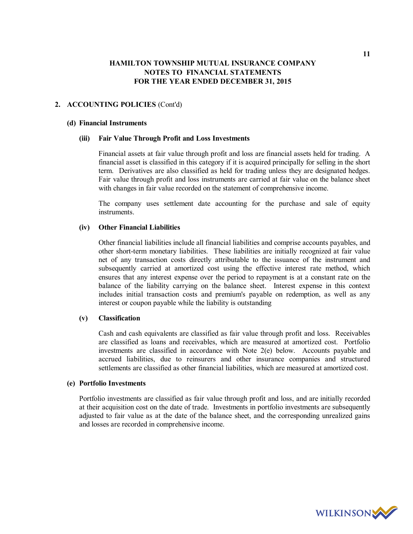### **2. ACCOUNTING POLICIES** (Cont'd)

#### **(d) Financial Instruments**

#### **(iii) Fair Value Through Profit and Loss Investments**

Financial assets at fair value through profit and loss are financial assets held for trading. A financial asset is classified in this category if it is acquired principally for selling in the short term. Derivatives are also classified as held for trading unless they are designated hedges. Fair value through profit and loss instruments are carried at fair value on the balance sheet with changes in fair value recorded on the statement of comprehensive income.

The company uses settlement date accounting for the purchase and sale of equity instruments.

## **(iv) Other Financial Liabilities**

Other financial liabilities include all financial liabilities and comprise accounts payables, and other short-term monetary liabilities. These liabilities are initially recognized at fair value net of any transaction costs directly attributable to the issuance of the instrument and subsequently carried at amortized cost using the effective interest rate method, which ensures that any interest expense over the period to repayment is at a constant rate on the balance of the liability carrying on the balance sheet. Interest expense in this context includes initial transaction costs and premium's payable on redemption, as well as any interest or coupon payable while the liability is outstanding

#### **(v) Classification**

Cash and cash equivalents are classified as fair value through profit and loss. Receivables are classified as loans and receivables, which are measured at amortized cost. Portfolio investments are classified in accordance with Note 2(e) below. Accounts payable and accrued liabilities, due to reinsurers and other insurance companies and structured settlements are classified as other financial liabilities, which are measured at amortized cost.

#### **(e) Portfolio Investments**

Portfolio investments are classified as fair value through profit and loss, and are initially recorded at their acquisition cost on the date of trade. Investments in portfolio investments are subsequently adjusted to fair value as at the date of the balance sheet, and the corresponding unrealized gains and losses are recorded in comprehensive income.

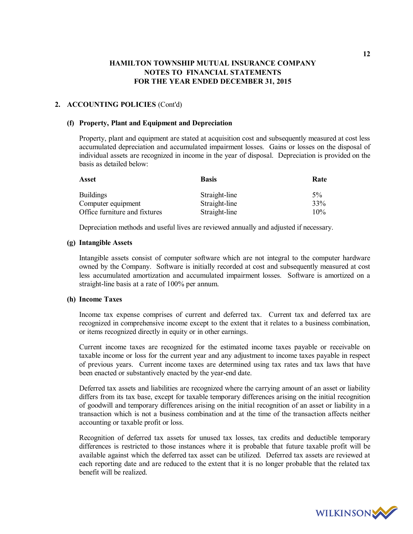### **2. ACCOUNTING POLICIES** (Cont'd)

#### **(f) Property, Plant and Equipment and Depreciation**

Property, plant and equipment are stated at acquisition cost and subsequently measured at cost less accumulated depreciation and accumulated impairment losses. Gains or losses on the disposal of individual assets are recognized in income in the year of disposal. Depreciation is provided on the basis as detailed below:

| Asset                         | <b>Basis</b>  | Rate |  |  |
|-------------------------------|---------------|------|--|--|
| <b>Buildings</b>              | Straight-line | 5%   |  |  |
| Computer equipment            | Straight-line | 33%  |  |  |
| Office furniture and fixtures | Straight-line | 10%  |  |  |

Depreciation methods and useful lives are reviewed annually and adjusted if necessary.

#### **(g) Intangible Assets**

Intangible assets consist of computer software which are not integral to the computer hardware owned by the Company. Software is initially recorded at cost and subsequently measured at cost less accumulated amortization and accumulated impairment losses. Software is amortized on a straight-line basis at a rate of 100% per annum.

### **(h) Income Taxes**

Income tax expense comprises of current and deferred tax. Current tax and deferred tax are recognized in comprehensive income except to the extent that it relates to a business combination, or items recognized directly in equity or in other earnings.

Current income taxes are recognized for the estimated income taxes payable or receivable on taxable income or loss for the current year and any adjustment to income taxes payable in respect of previous years. Current income taxes are determined using tax rates and tax laws that have been enacted or substantively enacted by the year-end date.

Deferred tax assets and liabilities are recognized where the carrying amount of an asset or liability differs from its tax base, except for taxable temporary differences arising on the initial recognition of goodwill and temporary differences arising on the initial recognition of an asset or liability in a transaction which is not a business combination and at the time of the transaction affects neither accounting or taxable profit or loss.

Recognition of deferred tax assets for unused tax losses, tax credits and deductible temporary differences is restricted to those instances where it is probable that future taxable profit will be available against which the deferred tax asset can be utilized. Deferred tax assets are reviewed at each reporting date and are reduced to the extent that it is no longer probable that the related tax benefit will be realized.

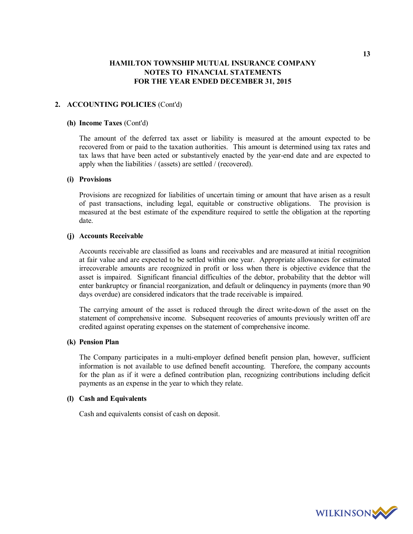### **2. ACCOUNTING POLICIES** (Cont'd)

#### **(h) Income Taxes** (Cont'd)

The amount of the deferred tax asset or liability is measured at the amount expected to be recovered from or paid to the taxation authorities. This amount is determined using tax rates and tax laws that have been acted or substantively enacted by the year-end date and are expected to apply when the liabilities / (assets) are settled / (recovered).

#### **(i) Provisions**

Provisions are recognized for liabilities of uncertain timing or amount that have arisen as a result of past transactions, including legal, equitable or constructive obligations. The provision is measured at the best estimate of the expenditure required to settle the obligation at the reporting date.

### **(j) Accounts Receivable**

Accounts receivable are classified as loans and receivables and are measured at initial recognition at fair value and are expected to be settled within one year. Appropriate allowances for estimated irrecoverable amounts are recognized in profit or loss when there is objective evidence that the asset is impaired. Significant financial difficulties of the debtor, probability that the debtor will enter bankruptcy or financial reorganization, and default or delinquency in payments (more than 90 days overdue) are considered indicators that the trade receivable is impaired.

The carrying amount of the asset is reduced through the direct write-down of the asset on the statement of comprehensive income. Subsequent recoveries of amounts previously written off are credited against operating expenses on the statement of comprehensive income.

#### **(k) Pension Plan**

The Company participates in a multi-employer defined benefit pension plan, however, sufficient information is not available to use defined benefit accounting. Therefore, the company accounts for the plan as if it were a defined contribution plan, recognizing contributions including deficit payments as an expense in the year to which they relate.

#### **(l) Cash and Equivalents**

Cash and equivalents consist of cash on deposit.

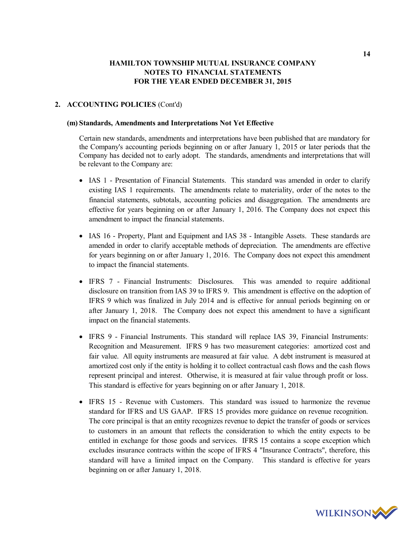### **2. ACCOUNTING POLICIES** (Cont'd)

#### **(m) Standards, Amendments and Interpretations Not Yet Effective**

Certain new standards, amendments and interpretations have been published that are mandatory for the Company's accounting periods beginning on or after January 1, 2015 or later periods that the Company has decided not to early adopt. The standards, amendments and interpretations that will be relevant to the Company are:

- IAS 1 Presentation of Financial Statements. This standard was amended in order to clarify existing IAS 1 requirements. The amendments relate to materiality, order of the notes to the financial statements, subtotals, accounting policies and disaggregation. The amendments are effective for years beginning on or after January 1, 2016. The Company does not expect this amendment to impact the financial statements.
- IAS 16 Property, Plant and Equipment and IAS 38 Intangible Assets. These standards are amended in order to clarify acceptable methods of depreciation. The amendments are effective for years beginning on or after January 1, 2016. The Company does not expect this amendment to impact the financial statements.
- IFRS 7 Financial Instruments: Disclosures. This was amended to require additional disclosure on transition from IAS 39 to IFRS 9. This amendment is effective on the adoption of IFRS 9 which was finalized in July 2014 and is effective for annual periods beginning on or after January 1, 2018. The Company does not expect this amendment to have a significant impact on the financial statements.
- IFRS 9 Financial Instruments. This standard will replace IAS 39, Financial Instruments: Recognition and Measurement. IFRS 9 has two measurement categories: amortized cost and fair value. All equity instruments are measured at fair value. A debt instrument is measured at amortized cost only if the entity is holding it to collect contractual cash flows and the cash flows represent principal and interest. Otherwise, it is measured at fair value through profit or loss. This standard is effective for years beginning on or after January 1, 2018.
- IFRS 15 Revenue with Customers. This standard was issued to harmonize the revenue standard for IFRS and US GAAP. IFRS 15 provides more guidance on revenue recognition. The core principal is that an entity recognizes revenue to depict the transfer of goods or services to customers in an amount that reflects the consideration to which the entity expects to be entitled in exchange for those goods and services. IFRS 15 contains a scope exception which excludes insurance contracts within the scope of IFRS 4 "Insurance Contracts", therefore, this standard will have a limited impact on the Company. This standard is effective for years beginning on or after January 1, 2018.

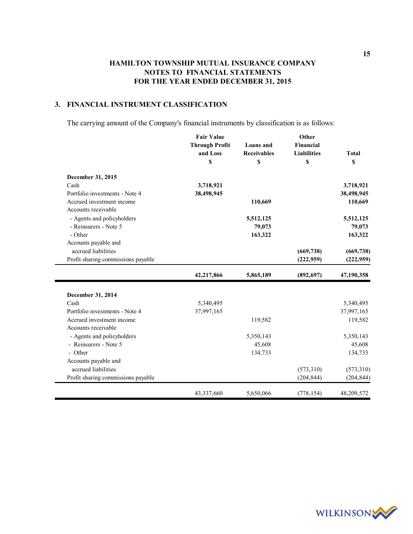## **3. FINANCIAL INSTRUMENT CLASSIFICATION**

The carrying amount of the Company's financial instruments by classification is as follows:

|                                                  | <b>Fair Value</b><br><b>Through Profit</b><br>and Loss<br>\$ | Loans and<br><b>Receivables</b><br>\$ | Other<br>Financial<br><b>Liabilities</b><br>\$ | <b>Total</b><br>\$ |
|--------------------------------------------------|--------------------------------------------------------------|---------------------------------------|------------------------------------------------|--------------------|
| December 31, 2015                                |                                                              |                                       |                                                |                    |
| Cash                                             | 3,718,921                                                    |                                       |                                                | 3,718,921          |
| Portfolio investments - Note 4                   | 38,498,945                                                   |                                       |                                                | 38,498,945         |
| Accrued investment income<br>Accounts receivable |                                                              | 110,669                               |                                                | 110,669            |
| - Agents and policyholders                       |                                                              | 5,512,125                             |                                                | 5,512,125          |
| - Reinsurers - Note 5                            |                                                              | 79,073                                |                                                | 79,073             |
| - Other                                          |                                                              | 163,322                               |                                                | 163,322            |
| Accounts payable and                             |                                                              |                                       |                                                |                    |
| accrued liabilities                              |                                                              |                                       | (669, 738)                                     | (669, 738)         |
| Profit sharing commissions payable               |                                                              |                                       | (222, 959)                                     | (222, 959)         |
|                                                  | 42,217,866                                                   | 5,865,189                             | (892, 697)                                     | 47,190,358         |
| December 31, 2014                                |                                                              |                                       |                                                |                    |
| Cash                                             | 5,340,495                                                    |                                       |                                                | 5,340,495          |
| Portfolio investments - Note 4                   | 37,997,165                                                   |                                       |                                                | 37,997,165         |
| Accrued investment income                        |                                                              | 119,582                               |                                                | 119,582            |
| Accounts receivable                              |                                                              |                                       |                                                |                    |
| - Agents and policyholders                       |                                                              | 5,350,143                             |                                                | 5,350,143          |
| - Reinsurers - Note 5                            |                                                              | 45,608                                |                                                | 45,608             |
| - Other                                          |                                                              | 134,733                               |                                                | 134,733            |
| Accounts payable and                             |                                                              |                                       |                                                |                    |
| accrued liabilities                              |                                                              |                                       | (573,310)                                      | (573, 310)         |
| Profit sharing commissions payable               |                                                              |                                       | (204, 844)                                     | (204, 844)         |
|                                                  | 43,337,660                                                   | 5,650,066                             | (778, 154)                                     | 48,209,572         |

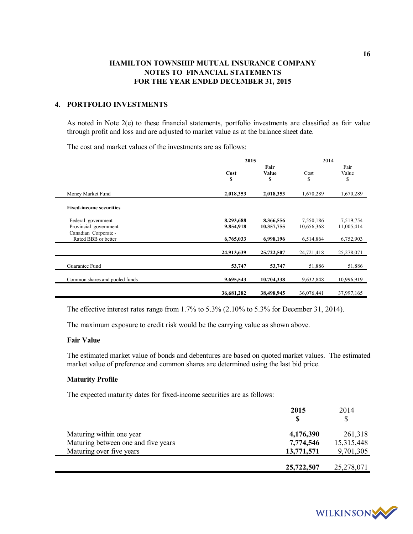### **4. PORTFOLIO INVESTMENTS**

As noted in Note 2(e) to these financial statements, portfolio investments are classified as fair value through profit and loss and are adjusted to market value as at the balance sheet date.

The cost and market values of the investments are as follows:

|                                               | 2015       |                     | 2014       |                     |
|-----------------------------------------------|------------|---------------------|------------|---------------------|
|                                               | Cost<br>S  | Fair<br>Value<br>\$ | Cost<br>\$ | Fair<br>Value<br>\$ |
| Money Market Fund                             | 2,018,353  | 2,018,353           | 1,670,289  | 1,670,289           |
| <b>Fixed-income securities</b>                |            |                     |            |                     |
| Federal government                            | 8,293,688  | 8,366,556           | 7,550,186  | 7,519,754           |
| Provincial government<br>Canadian Corporate - | 9,854,918  | 10,357,755          | 10,656,368 | 11,005,414          |
| Rated BBB or better                           | 6,765,033  | 6,998,196           | 6,514,864  | 6,752,903           |
|                                               | 24,913,639 | 25,722,507          | 24,721,418 | 25,278,071          |
| Guarantee Fund                                | 53,747     | 53,747              | 51,886     | 51,886              |
| Common shares and pooled funds                | 9,695,543  | 10,704,338          | 9,632,848  | 10,996,919          |
|                                               | 36,681,282 | 38,498,945          | 36,076,441 | 37,997,165          |

The effective interest rates range from 1.7% to 5.3% (2.10% to 5.3% for December 31, 2014).

The maximum exposure to credit risk would be the carrying value as shown above.

#### **Fair Value**

The estimated market value of bonds and debentures are based on quoted market values. The estimated market value of preference and common shares are determined using the last bid price.

### **Maturity Profile**

The expected maturity dates for fixed-income securities are as follows:

|                                     | 2015<br>S  | 2014<br>S  |
|-------------------------------------|------------|------------|
| Maturing within one year            | 4,176,390  | 261,318    |
| Maturing between one and five years | 7,774,546  | 15,315,448 |
| Maturing over five years            | 13,771,571 | 9,701,305  |
|                                     | 25,722,507 | 25,278,071 |

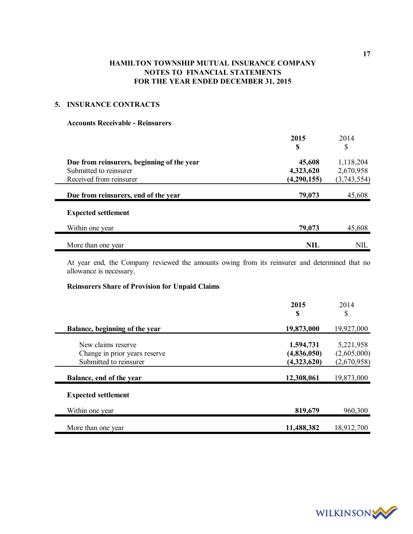## **5. INSURANCE CONTRACTS**

### **Accounts Receivable - Reinsurers**

|                                            | 2015        | 2014        |
|--------------------------------------------|-------------|-------------|
|                                            | S           | \$          |
| Due from reinsurers, beginning of the year | 45,608      | 1,118,204   |
| Submitted to reinsurer                     | 4,323,620   | 2,670,958   |
| Received from reinsurer                    | (4,290,155) | (3,743,554) |
| Due from reinsurers, end of the year       | 79,073      | 45,608      |
| <b>Expected settlement</b>                 |             |             |
| Within one year                            | 79,073      | 45,608      |
| More than one year                         | <b>NIL</b>  | NIL         |

At year end, the Company reviewed the amounts owing from its reinsurer and determined that no allowance is necessary.

## **Reinsurers Share of Provision for Unpaid Claims**

|                                | 2015<br>\$  | 2014<br>\$  |  |
|--------------------------------|-------------|-------------|--|
| Balance, beginning of the year | 19,873,000  | 19,927,000  |  |
| New claims reserve             | 1,594,731   | 5,221,958   |  |
| Change in prior years reserve  | (4,836,050) | (2,605,000) |  |
| Submitted to reinsurer         | (4,323,620) | (2,670,958) |  |
| Balance, end of the year       | 12,308,061  | 19,873,000  |  |
| <b>Expected settlement</b>     |             |             |  |
| Within one year                | 819,679     | 960,300     |  |
| More than one year             | 11,488,382  | 18,912,700  |  |

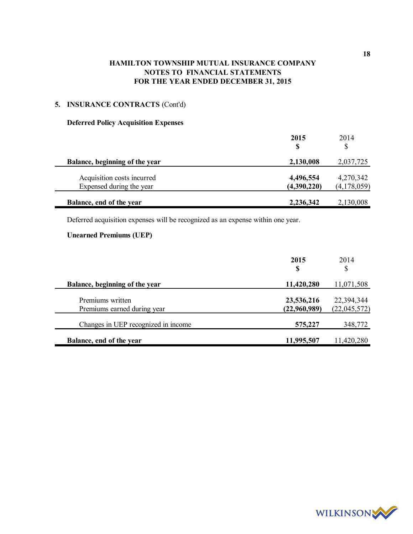# **5. INSURANCE CONTRACTS** (Cont'd)

## **Deferred Policy Acquisition Expenses**

|                                                        | 2015<br>\$               | 2014<br>S                  |  |
|--------------------------------------------------------|--------------------------|----------------------------|--|
| Balance, beginning of the year                         | 2,130,008                | 2,037,725                  |  |
| Acquisition costs incurred<br>Expensed during the year | 4,496,554<br>(4,390,220) | 4,270,342<br>(4, 178, 059) |  |
| Balance, end of the year                               | 2,236,342                | 2,130,008                  |  |

Deferred acquisition expenses will be recognized as an expense within one year.

## **Unearned Premiums (UEP)**

|                                                 | 2015<br>S                  | 2014<br>\$                 |
|-------------------------------------------------|----------------------------|----------------------------|
| Balance, beginning of the year                  | 11,420,280                 | 11,071,508                 |
| Premiums written<br>Premiums earned during year | 23,536,216<br>(22,960,989) | 22,394,344<br>(22,045,572) |
| Changes in UEP recognized in income             | 575,227                    | 348,772                    |
| Balance, end of the year                        | 11,995,507                 | 11,420,280                 |

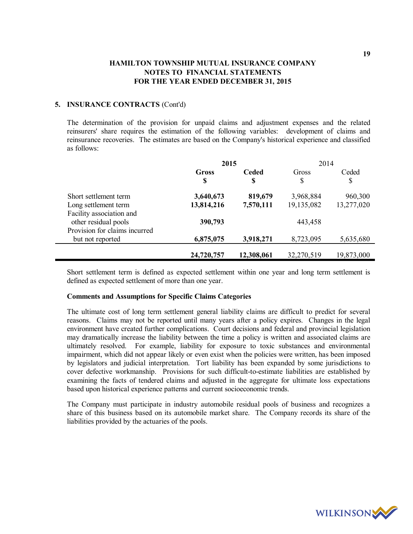### **5. INSURANCE CONTRACTS** (Cont'd)

The determination of the provision for unpaid claims and adjustment expenses and the related reinsurers' share requires the estimation of the following variables: development of claims and reinsurance recoveries. The estimates are based on the Company's historical experience and classified as follows:

|                               | 2015       |              | 2014       |            |  |
|-------------------------------|------------|--------------|------------|------------|--|
|                               | Gross      | <b>Ceded</b> | Gross      | Ceded      |  |
|                               | S          | S            | \$         | \$         |  |
| Short settlement term         | 3,640,673  | 819,679      | 3,968,884  | 960,300    |  |
| Long settlement term          | 13,814,216 | 7,570,111    | 19,135,082 | 13,277,020 |  |
| Facility association and      |            |              |            |            |  |
| other residual pools          | 390,793    |              | 443,458    |            |  |
| Provision for claims incurred |            |              |            |            |  |
| but not reported              | 6,875,075  | 3,918,271    | 8,723,095  | 5,635,680  |  |
|                               | 24,720,757 | 12,308,061   | 32,270,519 | 19,873,000 |  |

Short settlement term is defined as expected settlement within one year and long term settlement is defined as expected settlement of more than one year.

### **Comments and Assumptions for Specific Claims Categories**

The ultimate cost of long term settlement general liability claims are difficult to predict for several reasons. Claims may not be reported until many years after a policy expires. Changes in the legal environment have created further complications. Court decisions and federal and provincial legislation may dramatically increase the liability between the time a policy is written and associated claims are ultimately resolved. For example, liability for exposure to toxic substances and environmental impairment, which did not appear likely or even exist when the policies were written, has been imposed by legislators and judicial interpretation. Tort liability has been expanded by some jurisdictions to cover defective workmanship. Provisions for such difficult-to-estimate liabilities are established by examining the facts of tendered claims and adjusted in the aggregate for ultimate loss expectations based upon historical experience patterns and current socioeconomic trends.

The Company must participate in industry automobile residual pools of business and recognizes a share of this business based on its automobile market share. The Company records its share of the liabilities provided by the actuaries of the pools.

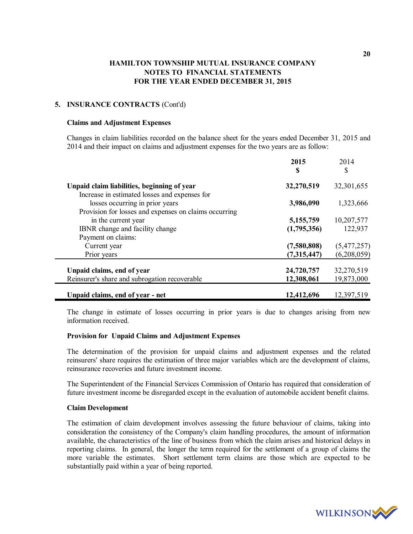### **5. INSURANCE CONTRACTS** (Cont'd)

#### **Claims and Adjustment Expenses**

Changes in claim liabilities recorded on the balance sheet for the years ended December 31, 2015 and 2014 and their impact on claims and adjustment expenses for the two years are as follow:

|                                                                                  | 2015<br>S                | 2014<br>\$            |
|----------------------------------------------------------------------------------|--------------------------|-----------------------|
|                                                                                  |                          |                       |
| Unpaid claim liabilities, beginning of year                                      | 32,270,519               | 32,301,655            |
| Increase in estimated losses and expenses for<br>losses occurring in prior years | 3,986,090                | 1,323,666             |
| Provision for losses and expenses on claims occurring                            |                          |                       |
| in the current year<br>IBNR change and facility change                           | 5,155,759<br>(1,795,356) | 10,207,577<br>122,937 |
| Payment on claims:                                                               |                          |                       |
| Current year                                                                     | (7,580,808)              | (5,477,257)           |
| Prior years                                                                      | (7,315,447)              | (6,208,059)           |
| Unpaid claims, end of year                                                       | 24,720,757               | 32,270,519            |
| Reinsurer's share and subrogation recoverable                                    | 12,308,061               | 19,873,000            |
| Unpaid claims, end of year - net                                                 | 12,412,696               | 12,397,519            |

The change in estimate of losses occurring in prior years is due to changes arising from new information received.

#### **Provision for Unpaid Claims and Adjustment Expenses**

The determination of the provision for unpaid claims and adjustment expenses and the related reinsurers' share requires the estimation of three major variables which are the development of claims, reinsurance recoveries and future investment income.

The Superintendent of the Financial Services Commission of Ontario has required that consideration of future investment income be disregarded except in the evaluation of automobile accident benefit claims.

#### **Claim Development**

The estimation of claim development involves assessing the future behaviour of claims, taking into consideration the consistency of the Company's claim handling procedures, the amount of information available, the characteristics of the line of business from which the claim arises and historical delays in reporting claims. In general, the longer the term required for the settlement of a group of claims the more variable the estimates. Short settlement term claims are those which are expected to be substantially paid within a year of being reported.

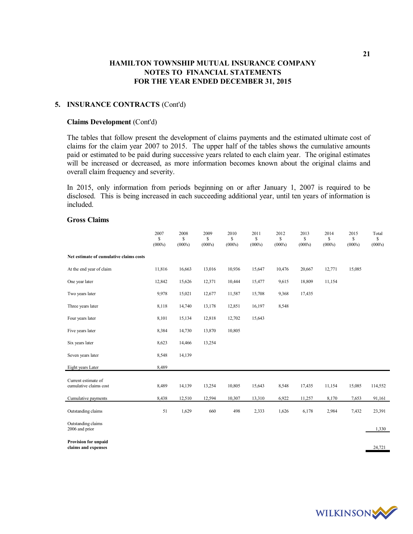### **5. INSURANCE CONTRACTS** (Cont'd)

#### **Claims Development** (Cont'd)

The tables that follow present the development of claims payments and the estimated ultimate cost of claims for the claim year 2007 to 2015. The upper half of the tables shows the cumulative amounts paid or estimated to be paid during successive years related to each claim year. The original estimates will be increased or decreased, as more information becomes known about the original claims and overall claim frequency and severity.

In 2015, only information from periods beginning on or after January 1, 2007 is required to be disclosed. This is being increased in each succeeding additional year, until ten years of information is included.

### **Gross Claims**

|                                                    | 2007<br>\$<br>(000's) | 2008<br>\$<br>(000's) | 2009<br>\$<br>(000's) | 2010<br>S<br>(000's) | 2011<br>\$<br>(000's) | 2012<br>\$<br>(000's) | 2013<br>\$<br>(000's) | 2014<br>\$<br>(000's) | 2015<br>\$<br>(000's) | Total<br>\$<br>(000's) |
|----------------------------------------------------|-----------------------|-----------------------|-----------------------|----------------------|-----------------------|-----------------------|-----------------------|-----------------------|-----------------------|------------------------|
| Net estimate of cumulative claims costs            |                       |                       |                       |                      |                       |                       |                       |                       |                       |                        |
| At the end year of claim                           | 11,816                | 16,663                | 13,016                | 10,936               | 15,647                | 10,476                | 20,667                | 12,771                | 15,085                |                        |
| One year later                                     | 12,842                | 15,626                | 12,371                | 10,444               | 15,477                | 9,615                 | 18,809                | 11,154                |                       |                        |
| Two years later                                    | 9,978                 | 15,021                | 12,677                | 11,587               | 15,708                | 9,368                 | 17,435                |                       |                       |                        |
| Three years later                                  | 8,118                 | 14,740                | 13,178                | 12,851               | 16,197                | 8,548                 |                       |                       |                       |                        |
| Four years later                                   | 8,101                 | 15,134                | 12,818                | 12,702               | 15,643                |                       |                       |                       |                       |                        |
| Five years later                                   | 8,384                 | 14,730                | 13,870                | 10,805               |                       |                       |                       |                       |                       |                        |
| Six years later                                    | 8,623                 | 14,466                | 13,254                |                      |                       |                       |                       |                       |                       |                        |
| Seven years later                                  | 8,548                 | 14,139                |                       |                      |                       |                       |                       |                       |                       |                        |
| Eight years Later                                  | 8,489                 |                       |                       |                      |                       |                       |                       |                       |                       |                        |
| Current estimate of<br>cumulative claims cost      | 8,489                 | 14,139                | 13,254                | 10,805               | 15,643                | 8,548                 | 17,435                | 11,154                | 15,085                | 114,552                |
| Cumulative payments                                | 8,438                 | 12,510                | 12,594                | 10,307               | 13,310                | 6,922                 | 11,257                | 8,170                 | 7,653                 | 91,161                 |
| Outstanding claims                                 | 51                    | 1,629                 | 660                   | 498                  | 2,333                 | 1,626                 | 6,178                 | 2,984                 | 7,432                 | 23,391                 |
| Outstanding claims<br>2006 and prior               |                       |                       |                       |                      |                       |                       |                       |                       |                       | 1,330                  |
| <b>Provision for unpaid</b><br>claims and expenses |                       |                       |                       |                      |                       |                       |                       |                       |                       | 24,721                 |



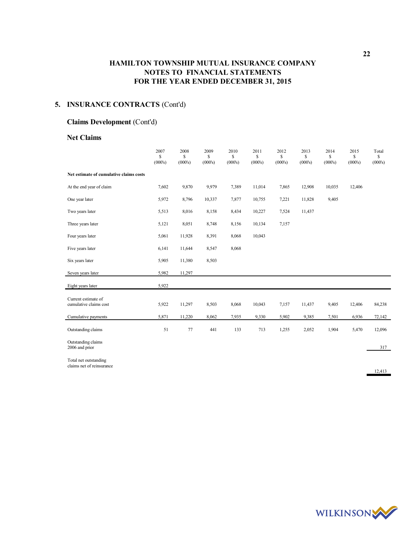## **5. INSURANCE CONTRACTS** (Cont'd)

### **Claims Development** (Cont'd)

#### **Net Claims**

|                                                    | 2007<br>\$<br>(000's) | 2008<br>\$<br>(000's) | 2009<br>\$<br>(000's) | 2010<br>S<br>(000's) | 2011<br>$\mathbf S$<br>(000's) | 2012<br>\$<br>(000's) | 2013<br>\$<br>(000's) | 2014<br>\$<br>(000's) | 2015<br>\$<br>(000's) | Total<br>\$<br>(000's) |
|----------------------------------------------------|-----------------------|-----------------------|-----------------------|----------------------|--------------------------------|-----------------------|-----------------------|-----------------------|-----------------------|------------------------|
| Net estimate of cumulative claims costs            |                       |                       |                       |                      |                                |                       |                       |                       |                       |                        |
| At the end year of claim                           | 7,602                 | 9,870                 | 9,979                 | 7,389                | 11,014                         | 7,865                 | 12,908                | 10,035                | 12,406                |                        |
| One year later                                     | 5,972                 | 8,796                 | 10,337                | 7,877                | 10,755                         | 7,221                 | 11,828                | 9,405                 |                       |                        |
| Two years later                                    | 5,513                 | 8,016                 | 8,158                 | 8,434                | 10,227                         | 7,524                 | 11,437                |                       |                       |                        |
| Three years later                                  | 5,121                 | 8,051                 | 8,748                 | 8,156                | 10,134                         | 7,157                 |                       |                       |                       |                        |
| Four years later                                   | 5,061                 | 11,928                | 8,391                 | 8,068                | 10,043                         |                       |                       |                       |                       |                        |
| Five years later                                   | 6,141                 | 11,644                | 8,547                 | 8,068                |                                |                       |                       |                       |                       |                        |
| Six years later                                    | 5,905                 | 11,380                | 8,503                 |                      |                                |                       |                       |                       |                       |                        |
| Seven years later                                  | 5,982                 | 11,297                |                       |                      |                                |                       |                       |                       |                       |                        |
| Eight years later                                  | 5,922                 |                       |                       |                      |                                |                       |                       |                       |                       |                        |
| Current estimate of<br>cumulative claims cost      | 5,922                 | 11,297                | 8,503                 | 8,068                | 10,043                         | 7,157                 | 11,437                | 9,405                 | 12,406                | 84,238                 |
| Cumulative payments                                | 5,871                 | 11,220                | 8,062                 | 7,935                | 9,330                          | 5,902                 | 9,385                 | 7,501                 | 6,936                 | 72,142                 |
| Outstanding claims                                 | 51                    | 77                    | 441                   | 133                  | 713                            | 1,255                 | 2,052                 | 1,904                 | 5,470                 | 12,096                 |
| Outstanding claims<br>2006 and prior               |                       |                       |                       |                      |                                |                       |                       |                       |                       | 317                    |
| Total net outstanding<br>claims net of reinsurance |                       |                       |                       |                      |                                |                       |                       |                       |                       | 12,413                 |

**22**

WILKINSON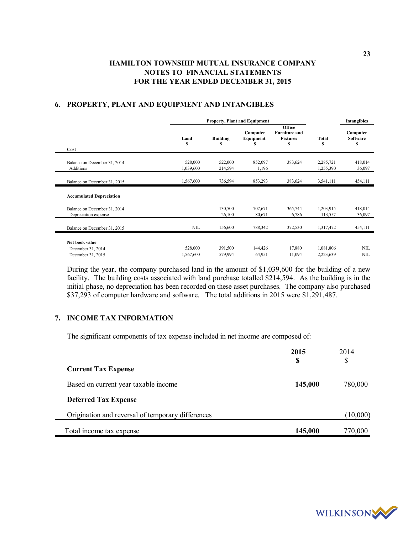|                                                          |                      |                    | <b>Property, Plant and Equipment</b> |                                                        |                        | <b>Intangibles</b>        |
|----------------------------------------------------------|----------------------|--------------------|--------------------------------------|--------------------------------------------------------|------------------------|---------------------------|
| Cost                                                     | Land<br>S            | <b>Building</b>    | Computer<br>Equipment                | Office<br><b>Furniture and</b><br><b>Fixtures</b><br>S | Total<br>S             | Computer<br>Software<br>S |
| Balance on December 31, 2014<br>Additions                | 528,000<br>1,039,600 | 522,000<br>214,594 | 852,097<br>1,196                     | 383,624                                                | 2,285,721<br>1,255,390 | 418,014<br>36,097         |
| Balance on December 31, 2015                             | 1,567,600            | 736,594            | 853,293                              | 383,624                                                | 3,541,111              | 454,111                   |
| <b>Accumulated Depreciation</b>                          |                      |                    |                                      |                                                        |                        |                           |
| Balance on December 31, 2014<br>Depreciation expense     |                      | 130,500<br>26,100  | 707,671<br>80,671                    | 365,744<br>6,786                                       | 1,203,915<br>113,557   | 418,014<br>36,097         |
| Balance on December 31, 2015                             | NIL                  | 156,600            | 788,342                              | 372,530                                                | 1,317,472              | 454,111                   |
| Net book value<br>December 31, 2014<br>December 31, 2015 | 528,000<br>1,567,600 | 391,500<br>579,994 | 144,426<br>64,951                    | 17,880<br>11,094                                       | 1,081,806<br>2,223,639 | NIL<br><b>NIL</b>         |

## **6. PROPERTY, PLANT AND EQUIPMENT AND INTANGIBLES**

During the year, the company purchased land in the amount of \$1,039,600 for the building of a new facility. The building costs associated with land purchase totalled \$214,594. As the building is in the initial phase, no depreciation has been recorded on these asset purchases. The company also purchased \$37,293 of computer hardware and software. The total additions in 2015 were \$1,291,487.

#### **7. INCOME TAX INFORMATION**

The significant components of tax expense included in net income are composed of:

|                                                   | 2015    | 2014     |
|---------------------------------------------------|---------|----------|
| <b>Current Tax Expense</b>                        | S       | \$       |
| Based on current year taxable income              | 145,000 | 780,000  |
| <b>Deferred Tax Expense</b>                       |         |          |
| Origination and reversal of temporary differences |         | (10,000) |
| Total income tax expense                          | 145,000 | 770,000  |

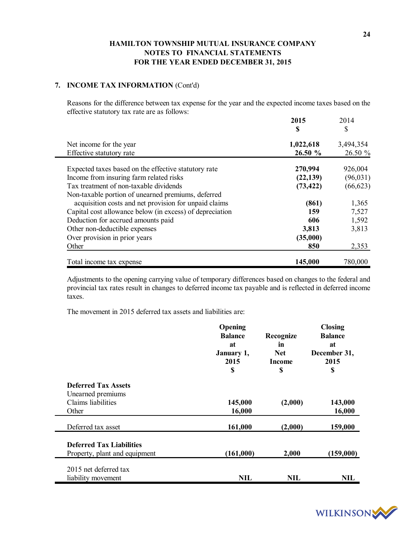### **7. INCOME TAX INFORMATION** (Cont'd)

Reasons for the difference between tax expense for the year and the expected income taxes based on the effective statutory tax rate are as follows:

|                                                          | 2015<br>S | 2014<br>\$ |
|----------------------------------------------------------|-----------|------------|
| Net income for the year                                  | 1,022,618 | 3,494,354  |
| Effective statutory rate                                 | 26.50 %   | 26.50 %    |
| Expected taxes based on the effective statutory rate     | 270,994   | 926,004    |
| Income from insuring farm related risks                  | (22, 139) | (96, 031)  |
| Tax treatment of non-taxable dividends                   | (73, 422) | (66, 623)  |
| Non-taxable portion of unearned premiums, deferred       |           |            |
| acquisition costs and net provision for unpaid claims    | (861)     | 1,365      |
| Capital cost allowance below (in excess) of depreciation | 159       | 7,527      |
| Deduction for accrued amounts paid                       | 606       | 1,592      |
| Other non-deductible expenses                            | 3,813     | 3,813      |
| Over provision in prior years                            | (35,000)  |            |
| Other                                                    | 850       | 2,353      |
| Total income tax expense                                 | 145,000   | 780,000    |

Adjustments to the opening carrying value of temporary differences based on changes to the federal and provincial tax rates result in changes to deferred income tax payable and is reflected in deferred income taxes.

The movement in 2015 deferred tax assets and liabilities are:

|                                 | Opening        |               | <b>Closing</b> |
|---------------------------------|----------------|---------------|----------------|
|                                 | <b>Balance</b> | Recognize     | <b>Balance</b> |
|                                 | at             | in            | at             |
|                                 | January 1,     | <b>Net</b>    | December 31,   |
|                                 | 2015           | <b>Income</b> | 2015           |
|                                 | \$             | \$            | \$             |
| <b>Deferred Tax Assets</b>      |                |               |                |
| Unearned premiums               |                |               |                |
| Claims liabilities              | 145,000        | (2,000)       | 143,000        |
| Other                           | 16,000         |               | 16,000         |
| Deferred tax asset              | 161,000        | (2,000)       | 159,000        |
|                                 |                |               |                |
| <b>Deferred Tax Liabilities</b> |                |               |                |
| Property, plant and equipment   | (161,000)      | 2,000         | (159,000)      |
| 2015 net deferred tax           |                |               |                |
| liability movement              | NIL            | NIL           | <b>NIL</b>     |

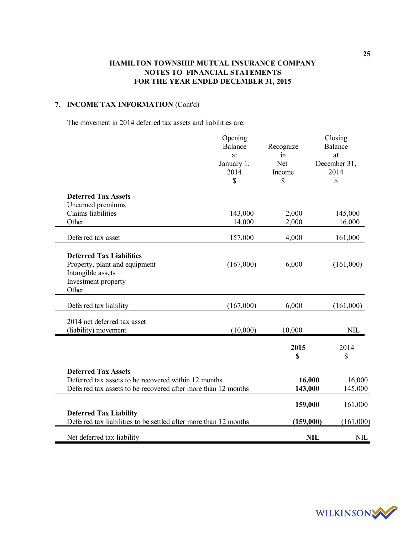## **7. INCOME TAX INFORMATION** (Cont'd)

The movement in 2014 deferred tax assets and liabilities are:

|                                                                                                                                                     | Opening<br><b>Balance</b><br>at<br>January 1,<br>2014<br>\$ | Recognize<br>in<br>Net<br>Income<br>\$ | Closing<br><b>Balance</b><br>at<br>December 31,<br>2014<br>\$ |
|-----------------------------------------------------------------------------------------------------------------------------------------------------|-------------------------------------------------------------|----------------------------------------|---------------------------------------------------------------|
| <b>Deferred Tax Assets</b><br>Unearned premiums<br><b>Claims</b> liabilities<br>Other                                                               | 143,000<br>14,000                                           | 2,000<br>2,000                         | 145,000<br>16,000                                             |
| Deferred tax asset                                                                                                                                  | 157,000                                                     | 4,000                                  | 161,000                                                       |
| <b>Deferred Tax Liabilities</b><br>Property, plant and equipment<br>Intangible assets<br>Investment property<br>Other                               | (167,000)                                                   | 6,000                                  | (161,000)                                                     |
| Deferred tax liability                                                                                                                              | (167,000)                                                   | 6,000                                  | (161,000)                                                     |
| 2014 net deferred tax asset<br>(liability) movement                                                                                                 | (10,000)                                                    | 10,000                                 | NIL                                                           |
|                                                                                                                                                     |                                                             | 2015<br>\$                             | 2014<br>\$                                                    |
| <b>Deferred Tax Assets</b><br>Deferred tax assets to be recovered within 12 months<br>Deferred tax assets to be recovered after more than 12 months |                                                             | 16,000<br>143,000                      | 16,000<br>145,000                                             |
|                                                                                                                                                     |                                                             | 159,000                                | 161,000                                                       |
| <b>Deferred Tax Liability</b><br>Deferred tax liabilities to be settled after more than 12 months                                                   |                                                             | (159,000)                              | (161,000)                                                     |
| Net deferred tax liability                                                                                                                          |                                                             | <b>NIL</b>                             | <b>NIL</b>                                                    |

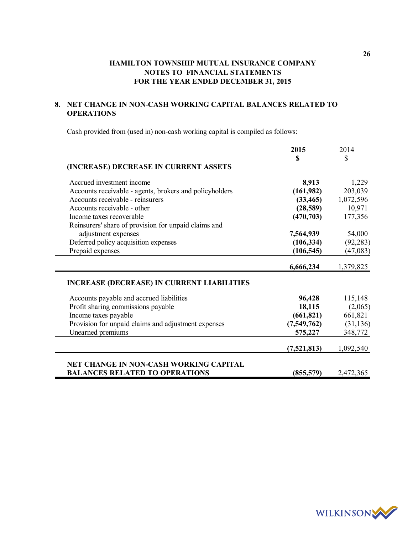## **8. NET CHANGE IN NON-CASH WORKING CAPITAL BALANCES RELATED TO OPERATIONS**

Cash provided from (used in) non-cash working capital is compiled as follows:

|                                                         | 2015        | 2014      |
|---------------------------------------------------------|-------------|-----------|
|                                                         | \$          | \$        |
| (INCREASE) DECREASE IN CURRENT ASSETS                   |             |           |
| Accrued investment income                               | 8,913       | 1,229     |
| Accounts receivable - agents, brokers and policyholders | (161,982)   | 203,039   |
| Accounts receivable - reinsurers                        | (33, 465)   | 1,072,596 |
| Accounts receivable - other                             | (28,589)    | 10,971    |
| Income taxes recoverable                                | (470, 703)  | 177,356   |
| Reinsurers' share of provision for unpaid claims and    |             |           |
| adjustment expenses                                     | 7,564,939   | 54,000    |
| Deferred policy acquisition expenses                    | (106, 334)  | (92, 283) |
| Prepaid expenses                                        | (106, 545)  | (47,083)  |
|                                                         | 6,666,234   | 1,379,825 |
| <b>INCREASE (DECREASE) IN CURRENT LIABILITIES</b>       |             |           |
| Accounts payable and accrued liabilities                | 96,428      | 115,148   |
| Profit sharing commissions payable                      | 18,115      | (2,065)   |
| Income taxes payable                                    | (661, 821)  | 661,821   |
| Provision for unpaid claims and adjustment expenses     | (7,549,762) | (31, 136) |
| Unearned premiums                                       | 575,227     | 348,772   |
|                                                         | (7,521,813) | 1,092,540 |
| <b>NET CHANGE IN NON-CASH WORKING CAPITAL</b>           |             |           |
| <b>BALANCES RELATED TO OPERATIONS</b>                   | (855, 579)  | 2,472,365 |



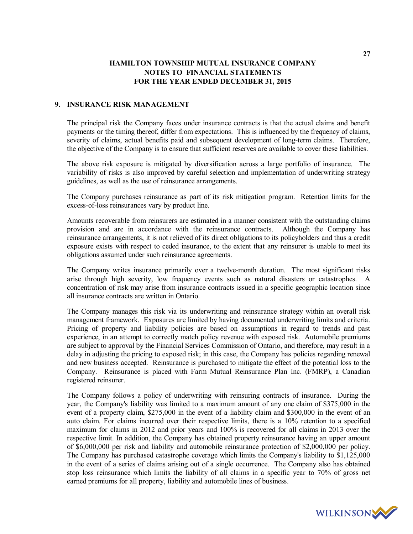### **9. INSURANCE RISK MANAGEMENT**

The principal risk the Company faces under insurance contracts is that the actual claims and benefit payments or the timing thereof, differ from expectations. This is influenced by the frequency of claims, severity of claims, actual benefits paid and subsequent development of long-term claims. Therefore, the objective of the Company is to ensure that sufficient reserves are available to cover these liabilities.

The above risk exposure is mitigated by diversification across a large portfolio of insurance. The variability of risks is also improved by careful selection and implementation of underwriting strategy guidelines, as well as the use of reinsurance arrangements.

The Company purchases reinsurance as part of its risk mitigation program. Retention limits for the excess-of-loss reinsurances vary by product line.

Amounts recoverable from reinsurers are estimated in a manner consistent with the outstanding claims provision and are in accordance with the reinsurance contracts. Although the Company has reinsurance arrangements, it is not relieved of its direct obligations to its policyholders and thus a credit exposure exists with respect to ceded insurance, to the extent that any reinsurer is unable to meet its obligations assumed under such reinsurance agreements.

The Company writes insurance primarily over a twelve-month duration. The most significant risks arise through high severity, low frequency events such as natural disasters or catastrophes. A concentration of risk may arise from insurance contracts issued in a specific geographic location since all insurance contracts are written in Ontario.

The Company manages this risk via its underwriting and reinsurance strategy within an overall risk management framework. Exposures are limited by having documented underwriting limits and criteria. Pricing of property and liability policies are based on assumptions in regard to trends and past experience, in an attempt to correctly match policy revenue with exposed risk. Automobile premiums are subject to approval by the Financial Services Commission of Ontario, and therefore, may result in a delay in adjusting the pricing to exposed risk; in this case, the Company has policies regarding renewal and new business accepted. Reinsurance is purchased to mitigate the effect of the potential loss to the Company. Reinsurance is placed with Farm Mutual Reinsurance Plan Inc. (FMRP), a Canadian registered reinsurer.

The Company follows a policy of underwriting with reinsuring contracts of insurance. During the year, the Company's liability was limited to a maximum amount of any one claim of \$375,000 in the event of a property claim, \$275,000 in the event of a liability claim and \$300,000 in the event of an auto claim. For claims incurred over their respective limits, there is a 10% retention to a specified maximum for claims in 2012 and prior years and 100% is recovered for all claims in 2013 over the respective limit. In addition, the Company has obtained property reinsurance having an upper amount of \$6,000,000 per risk and liability and automobile reinsurance protection of \$2,000,000 per policy. The Company has purchased catastrophe coverage which limits the Company's liability to \$1,125,000 in the event of a series of claims arising out of a single occurrence. The Company also has obtained stop loss reinsurance which limits the liability of all claims in a specific year to 70% of gross net earned premiums for all property, liability and automobile lines of business.

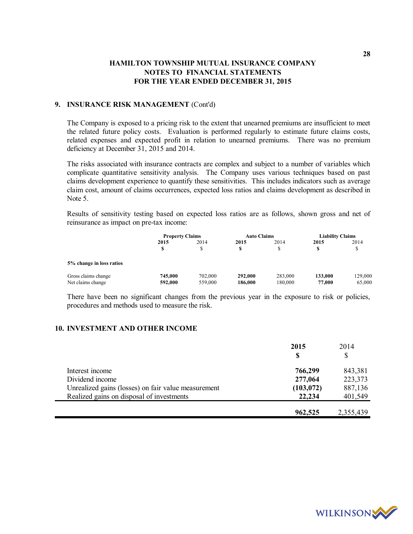### **9. INSURANCE RISK MANAGEMENT** (Cont'd)

The Company is exposed to a pricing risk to the extent that unearned premiums are insufficient to meet the related future policy costs. Evaluation is performed regularly to estimate future claims costs, related expenses and expected profit in relation to unearned premiums. There was no premium deficiency at December 31, 2015 and 2014.

The risks associated with insurance contracts are complex and subject to a number of variables which complicate quantitative sensitivity analysis. The Company uses various techniques based on past claims development experience to quantify these sensitivities. This includes indicators such as average claim cost, amount of claims occurrences, expected loss ratios and claims development as described in Note 5.

Results of sensitivity testing based on expected loss ratios are as follows, shown gross and net of reinsurance as impact on pre-tax income:

|                                          | <b>Property Claims</b> |                    | <b>Auto Claims</b> |                    | <b>Liability Claims</b> |                   |
|------------------------------------------|------------------------|--------------------|--------------------|--------------------|-------------------------|-------------------|
|                                          | 2015                   | 2014               | 2015<br>S          | 2014               | 2015                    | 2014              |
| 5% change in loss ratios                 |                        |                    |                    |                    |                         |                   |
| Gross claims change<br>Net claims change | 745,000<br>592,000     | 702,000<br>559,000 | 292,000<br>186,000 | 283,000<br>180,000 | 133,000<br>77,000       | 129,000<br>65,000 |

There have been no significant changes from the previous year in the exposure to risk or policies, procedures and methods used to measure the risk.

### **10. INVESTMENT AND OTHER INCOME**

|                                                     | 2015       | 2014      |
|-----------------------------------------------------|------------|-----------|
|                                                     | S          | \$        |
| Interest income                                     | 766,299    | 843,381   |
| Dividend income                                     | 277,064    | 223,373   |
| Unrealized gains (losses) on fair value measurement | (103, 072) | 887,136   |
| Realized gains on disposal of investments           | 22,234     | 401,549   |
|                                                     |            |           |
|                                                     | 962,525    | 2,355,439 |

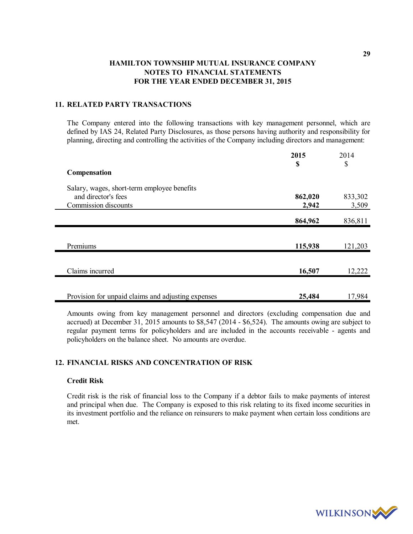### **11. RELATED PARTY TRANSACTIONS**

The Company entered into the following transactions with key management personnel, which are defined by IAS 24, Related Party Disclosures, as those persons having authority and responsibility for planning, directing and controlling the activities of the Company including directors and management:

|                                                    | 2015<br>\$ | 2014<br>\$ |
|----------------------------------------------------|------------|------------|
| Compensation                                       |            |            |
| Salary, wages, short-term employee benefits        |            |            |
| and director's fees                                | 862,020    | 833,302    |
| Commission discounts                               | 2,942      | 3,509      |
|                                                    |            |            |
|                                                    | 864,962    | 836,811    |
|                                                    |            |            |
| Premiums                                           | 115,938    | 121,203    |
|                                                    |            |            |
| Claims incurred                                    | 16,507     | 12,222     |
|                                                    |            |            |
| Provision for unpaid claims and adjusting expenses | 25,484     | 17,984     |

Amounts owing from key management personnel and directors (excluding compensation due and accrued) at December 31, 2015 amounts to \$8,547 (2014 - \$6,524). The amounts owing are subject to regular payment terms for policyholders and are included in the accounts receivable - agents and policyholders on the balance sheet. No amounts are overdue.

### **12. FINANCIAL RISKS AND CONCENTRATION OF RISK**

#### **Credit Risk**

Credit risk is the risk of financial loss to the Company if a debtor fails to make payments of interest and principal when due. The Company is exposed to this risk relating to its fixed income securities in its investment portfolio and the reliance on reinsurers to make payment when certain loss conditions are met.



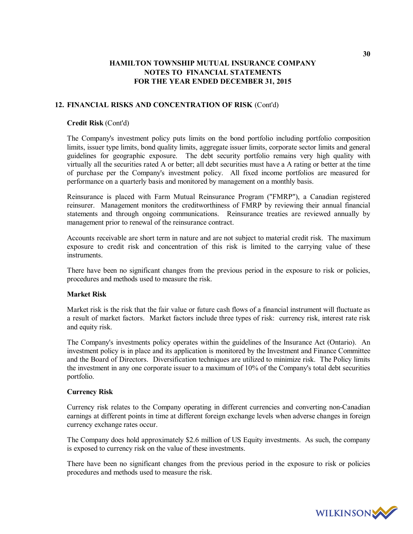### **12. FINANCIAL RISKS AND CONCENTRATION OF RISK** (Cont'd)

### **Credit Risk** (Cont'd)

The Company's investment policy puts limits on the bond portfolio including portfolio composition limits, issuer type limits, bond quality limits, aggregate issuer limits, corporate sector limits and general guidelines for geographic exposure. The debt security portfolio remains very high quality with virtually all the securities rated A or better; all debt securities must have a A rating or better at the time of purchase per the Company's investment policy. All fixed income portfolios are measured for performance on a quarterly basis and monitored by management on a monthly basis.

Reinsurance is placed with Farm Mutual Reinsurance Program ("FMRP"), a Canadian registered reinsurer. Management monitors the creditworthiness of FMRP by reviewing their annual financial statements and through ongoing communications. Reinsurance treaties are reviewed annually by management prior to renewal of the reinsurance contract.

Accounts receivable are short term in nature and are not subject to material credit risk. The maximum exposure to credit risk and concentration of this risk is limited to the carrying value of these **instruments** 

There have been no significant changes from the previous period in the exposure to risk or policies, procedures and methods used to measure the risk.

### **Market Risk**

Market risk is the risk that the fair value or future cash flows of a financial instrument will fluctuate as a result of market factors. Market factors include three types of risk: currency risk, interest rate risk and equity risk.

The Company's investments policy operates within the guidelines of the Insurance Act (Ontario). An investment policy is in place and its application is monitored by the Investment and Finance Committee and the Board of Directors. Diversification techniques are utilized to minimize risk. The Policy limits the investment in any one corporate issuer to a maximum of 10% of the Company's total debt securities portfolio.

#### **Currency Risk**

Currency risk relates to the Company operating in different currencies and converting non-Canadian earnings at different points in time at different foreign exchange levels when adverse changes in foreign currency exchange rates occur.

The Company does hold approximately \$2.6 million of US Equity investments. As such, the company is exposed to currency risk on the value of these investments.

There have been no significant changes from the previous period in the exposure to risk or policies procedures and methods used to measure the risk.

**30**

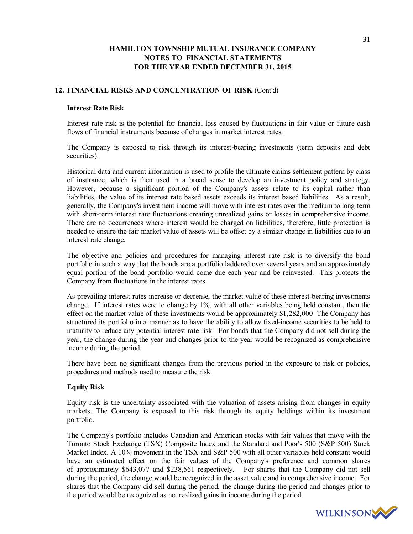### **12. FINANCIAL RISKS AND CONCENTRATION OF RISK** (Cont'd)

#### **Interest Rate Risk**

Interest rate risk is the potential for financial loss caused by fluctuations in fair value or future cash flows of financial instruments because of changes in market interest rates.

The Company is exposed to risk through its interest-bearing investments (term deposits and debt securities).

Historical data and current information is used to profile the ultimate claims settlement pattern by class of insurance, which is then used in a broad sense to develop an investment policy and strategy. However, because a significant portion of the Company's assets relate to its capital rather than liabilities, the value of its interest rate based assets exceeds its interest based liabilities. As a result, generally, the Company's investment income will move with interest rates over the medium to long-term with short-term interest rate fluctuations creating unrealized gains or losses in comprehensive income. There are no occurrences where interest would be charged on liabilities, therefore, little protection is needed to ensure the fair market value of assets will be offset by a similar change in liabilities due to an interest rate change.

The objective and policies and procedures for managing interest rate risk is to diversify the bond portfolio in such a way that the bonds are a portfolio laddered over several years and an approximately equal portion of the bond portfolio would come due each year and be reinvested. This protects the Company from fluctuations in the interest rates.

As prevailing interest rates increase or decrease, the market value of these interest-bearing investments change. If interest rates were to change by 1%, with all other variables being held constant, then the effect on the market value of these investments would be approximately \$1,282,000 The Company has structured its portfolio in a manner as to have the ability to allow fixed-income securities to be held to maturity to reduce any potential interest rate risk. For bonds that the Company did not sell during the year, the change during the year and changes prior to the year would be recognized as comprehensive income during the period.

There have been no significant changes from the previous period in the exposure to risk or policies, procedures and methods used to measure the risk.

#### **Equity Risk**

Equity risk is the uncertainty associated with the valuation of assets arising from changes in equity markets. The Company is exposed to this risk through its equity holdings within its investment portfolio.

The Company's portfolio includes Canadian and American stocks with fair values that move with the Toronto Stock Exchange (TSX) Composite Index and the Standard and Poor's 500 (S&P 500) Stock Market Index. A 10% movement in the TSX and S&P 500 with all other variables held constant would have an estimated effect on the fair values of the Company's preference and common shares of approximately \$643,077 and \$238,561 respectively. For shares that the Company did not sell during the period, the change would be recognized in the asset value and in comprehensive income. For shares that the Company did sell during the period, the change during the period and changes prior to the period would be recognized as net realized gains in income during the period.

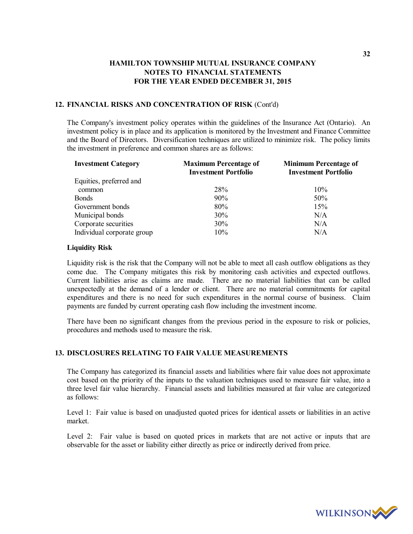### **12. FINANCIAL RISKS AND CONCENTRATION OF RISK** (Cont'd)

The Company's investment policy operates within the guidelines of the Insurance Act (Ontario). An investment policy is in place and its application is monitored by the Investment and Finance Committee and the Board of Directors. Diversification techniques are utilized to minimize risk. The policy limits the investment in preference and common shares are as follows:

| <b>Investment Category</b> | <b>Maximum Percentage of</b><br><b>Investment Portfolio</b> | <b>Minimum Percentage of</b><br><b>Investment Portfolio</b> |
|----------------------------|-------------------------------------------------------------|-------------------------------------------------------------|
| Equities, preferred and    |                                                             |                                                             |
| common                     | <b>28%</b>                                                  | 10%                                                         |
| <b>Bonds</b>               | 90%                                                         | 50%                                                         |
| Government bonds           | 80%                                                         | 15%                                                         |
| Municipal bonds            | 30%                                                         | N/A                                                         |
| Corporate securities       | 30%                                                         | N/A                                                         |
| Individual corporate group | 10%                                                         | N/A                                                         |

### **Liquidity Risk**

Liquidity risk is the risk that the Company will not be able to meet all cash outflow obligations as they come due. The Company mitigates this risk by monitoring cash activities and expected outflows. Current liabilities arise as claims are made. There are no material liabilities that can be called unexpectedly at the demand of a lender or client. There are no material commitments for capital expenditures and there is no need for such expenditures in the normal course of business. Claim payments are funded by current operating cash flow including the investment income.

There have been no significant changes from the previous period in the exposure to risk or policies, procedures and methods used to measure the risk.

### **13. DISCLOSURES RELATING TO FAIR VALUE MEASUREMENTS**

The Company has categorized its financial assets and liabilities where fair value does not approximate cost based on the priority of the inputs to the valuation techniques used to measure fair value, into a three level fair value hierarchy. Financial assets and liabilities measured at fair value are categorized as follows:

Level 1: Fair value is based on unadjusted quoted prices for identical assets or liabilities in an active market.

Level 2: Fair value is based on quoted prices in markets that are not active or inputs that are observable for the asset or liability either directly as price or indirectly derived from price.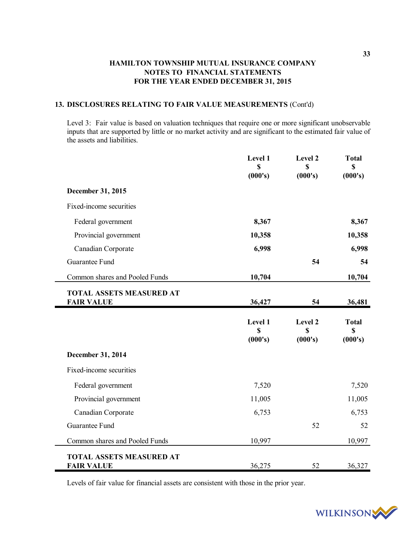### **13. DISCLOSURES RELATING TO FAIR VALUE MEASUREMENTS** (Cont'd)

Level 3: Fair value is based on valuation techniques that require one or more significant unobservable inputs that are supported by little or no market activity and are significant to the estimated fair value of the assets and liabilities.

|                                               | Level 1<br><b>S</b><br>(000's) | Level 2<br>\$<br>(000's) | <b>Total</b><br>\$<br>(000's) |
|-----------------------------------------------|--------------------------------|--------------------------|-------------------------------|
| December 31, 2015                             |                                |                          |                               |
| Fixed-income securities                       |                                |                          |                               |
| Federal government                            | 8,367                          |                          | 8,367                         |
| Provincial government                         | 10,358                         |                          | 10,358                        |
| Canadian Corporate                            | 6,998                          |                          | 6,998                         |
| Guarantee Fund                                |                                | 54                       | 54                            |
| Common shares and Pooled Funds                | 10,704                         |                          | 10,704                        |
| TOTAL ASSETS MEASURED AT<br><b>FAIR VALUE</b> | 36,427                         | 54                       | 36,481                        |
|                                               |                                |                          |                               |
|                                               | Level 1<br>S<br>(000's)        | Level 2<br>\$<br>(000's) | <b>Total</b><br>\$<br>(000's) |
| December 31, 2014                             |                                |                          |                               |
| Fixed-income securities                       |                                |                          |                               |
| Federal government                            | 7,520                          |                          | 7,520                         |
| Provincial government                         | 11,005                         |                          | 11,005                        |
| Canadian Corporate                            | 6,753                          |                          | 6,753                         |
| Guarantee Fund                                |                                | 52                       | 52                            |
| Common shares and Pooled Funds                | 10,997                         |                          | 10,997                        |

Levels of fair value for financial assets are consistent with those in the prior year.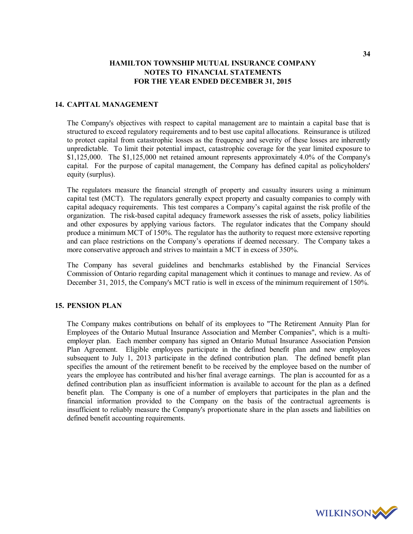### **14. CAPITAL MANAGEMENT**

The Company's objectives with respect to capital management are to maintain a capital base that is structured to exceed regulatory requirements and to best use capital allocations. Reinsurance is utilized to protect capital from catastrophic losses as the frequency and severity of these losses are inherently unpredictable. To limit their potential impact, catastrophic coverage for the year limited exposure to \$1,125,000. The \$1,125,000 net retained amount represents approximately 4.0% of the Company's capital. For the purpose of capital management, the Company has defined capital as policyholders' equity (surplus).

The regulators measure the financial strength of property and casualty insurers using a minimum capital test (MCT). The regulators generally expect property and casualty companies to comply with capital adequacy requirements. This test compares a Company's capital against the risk profile of the organization. The risk-based capital adequacy framework assesses the risk of assets, policy liabilities and other exposures by applying various factors. The regulator indicates that the Company should produce a minimum MCT of 150%. The regulator has the authority to request more extensive reporting and can place restrictions on the Company's operations if deemed necessary. The Company takes a more conservative approach and strives to maintain a MCT in excess of 350%.

The Company has several guidelines and benchmarks established by the Financial Services Commission of Ontario regarding capital management which it continues to manage and review. As of December 31, 2015, the Company's MCT ratio is well in excess of the minimum requirement of 150%.

### **15. PENSION PLAN**

The Company makes contributions on behalf of its employees to "The Retirement Annuity Plan for Employees of the Ontario Mutual Insurance Association and Member Companies", which is a multiemployer plan. Each member company has signed an Ontario Mutual Insurance Association Pension Plan Agreement. Eligible employees participate in the defined benefit plan and new employees subsequent to July 1, 2013 participate in the defined contribution plan. The defined benefit plan specifies the amount of the retirement benefit to be received by the employee based on the number of years the employee has contributed and his/her final average earnings. The plan is accounted for as a defined contribution plan as insufficient information is available to account for the plan as a defined benefit plan. The Company is one of a number of employers that participates in the plan and the financial information provided to the Company on the basis of the contractual agreements is insufficient to reliably measure the Company's proportionate share in the plan assets and liabilities on defined benefit accounting requirements.